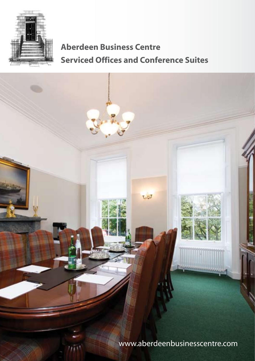

# **Aberdeen Business Centre Serviced Offices and Conference Suites**



www.aberdeenbusinesscentre.com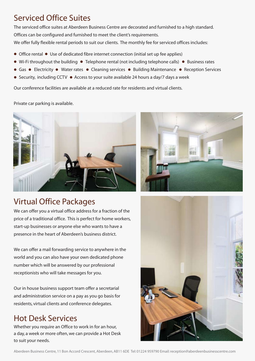## Serviced Office Suites

The serviced office suites at Aberdeen Business Centre are decorated and furnished to a high standard. Offices can be configured and furnished to meet the client's requirements.

We offer fully flexible rental periods to suit our clients. The monthly fee for serviced offices includes:

- Office rental Use of dedicated fibre internet connection (initial set up fee applies)
- $\bullet$  Wi-Fi throughout the building  $\bullet$  Telephone rental (not including telephone calls)  $\bullet$  Business rates
- Gas Electricity Water rates Cleaning services Building Maintenance Reception Services
- Security, including CCTV Access to your suite available 24 hours a day/7 days a week

Our conference facilities are available at a reduced rate for residents and virtual clients.

Private car parking is available.



# Virtual Office Packages

We can offer you a virtual office address for a fraction of the price of a traditional office. This is perfect for home workers, start-up businesses or anyone else who wants to have a presence in the heart of Aberdeen's business district.

We can offer a mail forwarding service to anywhere in the world and you can also have your own dedicated phone number which will be answered by our professional receptionists who will take messages for you.

Our in house business support team offer a secretarial and administration service on a pay as you go basis for residents, virtual clients and conference delegates.

## Hot Desk Services

Whether you require an Office to work in for an hour, a day, a week or more often, we can provide a Hot Desk to suit your needs.



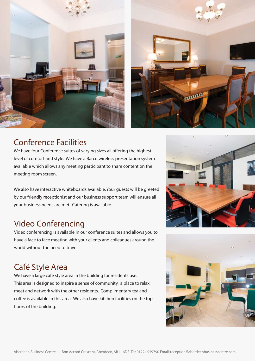



## Conference Facilities

We have four Conference suites of varying sizes all offering the highest level of comfort and style. We have a Barco wireless presentation system available which allows any meeting participant to share content on the meeting room screen.

We also have interactive whiteboards available.Your guests will be greeted by our friendly receptionist and our business support team will ensure all your business needs are met. Catering is available.

## Video Conferencing

Video conferencing is available in our conference suites and allows you to have a face to face meeting with your clients and colleagues around the world without the need to travel.

# Café Style Area

We have a large café style area in the building for residents use. This area is designed to inspire a sense of community, a place to relax, meet and network with the other residents. Complimentary tea and coffee is available in this area. We also have kitchen facilities on the top floors of the building.